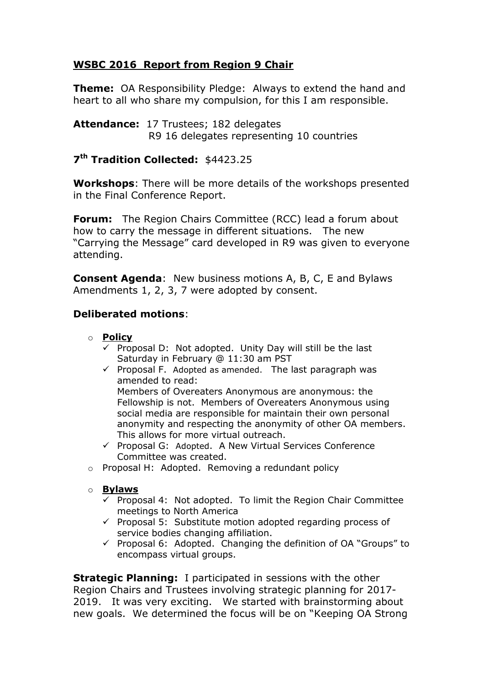## **WSBC 2016 Report from Region 9 Chair**

**Theme:** OA Responsibility Pledge: Always to extend the hand and heart to all who share my compulsion, for this I am responsible.

**Attendance:** 17 Trustees; 182 delegates R9 16 delegates representing 10 countries

## **7 th Tradition Collected:** \$4423.25

**Workshops**: There will be more details of the workshops presented in the Final Conference Report.

**Forum:** The Region Chairs Committee (RCC) lead a forum about how to carry the message in different situations. The new "Carrying the Message" card developed in R9 was given to everyone attending.

**Consent Agenda**: New business motions A, B, C, E and Bylaws Amendments 1, 2, 3, 7 were adopted by consent.

## **Deliberated motions**:

- o **Policy**
	- $\checkmark$  Proposal D: Not adopted. Unity Day will still be the last Saturday in February @ 11:30 am PST
	- $\checkmark$  Proposal F. Adopted as amended. The last paragraph was amended to read:

Members of Overeaters Anonymous are anonymous: the Fellowship is not. Members of Overeaters Anonymous using social media are responsible for maintain their own personal anonymity and respecting the anonymity of other OA members. This allows for more virtual outreach.

- $\checkmark$  Proposal G: Adopted. A New Virtual Services Conference Committee was created.
- o Proposal H: Adopted. Removing a redundant policy
- o **Bylaws**
	- $\checkmark$  Proposal 4: Not adopted. To limit the Region Chair Committee meetings to North America
	- $\checkmark$  Proposal 5: Substitute motion adopted regarding process of service bodies changing affiliation.
	- $\checkmark$  Proposal 6: Adopted. Changing the definition of OA "Groups" to encompass virtual groups.

**Strategic Planning:** I participated in sessions with the other Region Chairs and Trustees involving strategic planning for 2017- 2019. It was very exciting. We started with brainstorming about new goals. We determined the focus will be on "Keeping OA Strong